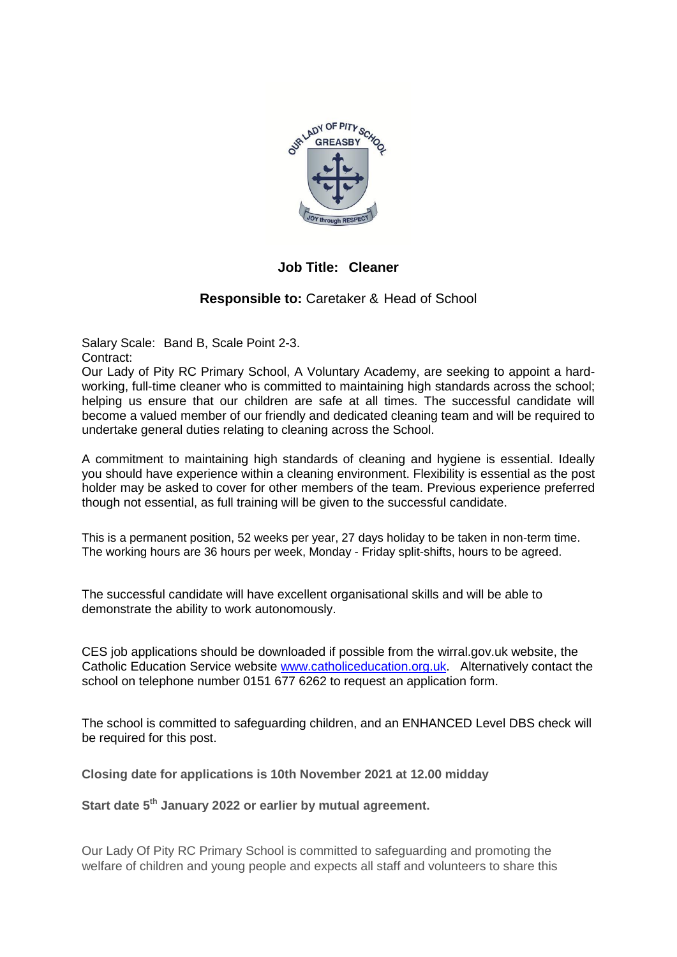

**Job Title: Cleaner**

## **Responsible to:** Caretaker & Head of School

Salary Scale: Band B, Scale Point 2-3. Contract:

Our Lady of Pity RC Primary School, A Voluntary Academy, are seeking to appoint a hardworking, full-time cleaner who is committed to maintaining high standards across the school; helping us ensure that our children are safe at all times. The successful candidate will become a valued member of our friendly and dedicated cleaning team and will be required to undertake general duties relating to cleaning across the School.

A commitment to maintaining high standards of cleaning and hygiene is essential. Ideally you should have experience within a cleaning environment. Flexibility is essential as the post holder may be asked to cover for other members of the team. Previous experience preferred though not essential, as full training will be given to the successful candidate.

This is a permanent position, 52 weeks per year, 27 days holiday to be taken in non-term time. The working hours are 36 hours per week, Monday - Friday split-shifts, hours to be agreed.

The successful candidate will have excellent organisational skills and will be able to demonstrate the ability to work autonomously.

CES job applications should be downloaded if possible from the wirral.gov.uk website, the Catholic Education Service website [www.catholiceducation.org.uk.](http://www.catholiceducation.org.uk/) Alternatively contact the school on telephone number 0151 677 6262 to request an application form.

The school is committed to safeguarding children, and an ENHANCED Level DBS check will be required for this post.

**Closing date for applications is 10th November 2021 at 12.00 midday**

**Start date 5th January 2022 or earlier by mutual agreement.**

Our Lady Of Pity RC Primary School is committed to safeguarding and promoting the welfare of children and young people and expects all staff and volunteers to share this